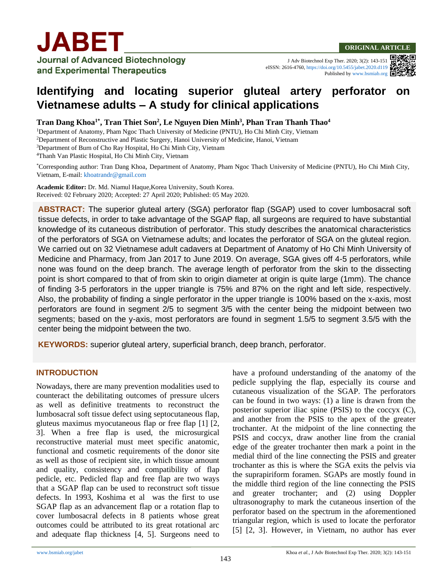

J Adv Biotechnol Exp Ther. 2020; 3(2): 143-151 eISSN: 2616-4760[, https://doi.org/10.5455/jabet.2020.d119](https://doi.org/10.5455/jabet.2020.d119) Published b[y www.bsmiab.org](http://www.bsmiab.org/)



#### **Tran Dang Khoa1\* , Tran Thiet Son<sup>2</sup> , Le Nguyen Dien Minh<sup>3</sup> , Phan Tran Thanh Thao<sup>4</sup>**

<sup>1</sup>Department of Anatomy, Pham Ngoc Thach University of Medicine (PNTU), Ho Chi Minh City, Vietnam

<sup>2</sup>Department of Reconstructive and Plastic Surgery, Hanoi University of Medicine, Hanoi, Vietnam

<sup>3</sup>Department of Burn of Cho Ray Hospital, Ho Chi Minh City, Vietnam

<sup>4</sup>Thanh Van Plastic Hospital, Ho Chi Minh City, Vietnam

\*Corresponding author: Tran Dang Khoa, Department of Anatomy, Pham Ngoc Thach University of Medicine (PNTU), Ho Chi Minh City, Vietnam, E-mail: [khoatrandr@gmail.com](mailto:khoatrandr@gmail.com)

**Academic Editor:** Dr. Md. Niamul Haque,Korea University, South Korea. Received: 02 February 2020; Accepted: 27 April 2020; Published: 05 May 2020.

**ABSTRACT:** The superior gluteal artery (SGA) perforator flap (SGAP) used to cover lumbosacral soft tissue defects, in order to take advantage of the SGAP flap, all surgeons are required to have substantial knowledge of its cutaneous distribution of perforator. This study describes the anatomical characteristics of the perforators of SGA on Vietnamese adults; and locates the perforator of SGA on the gluteal region. We carried out on 32 Vietnamese adult cadavers at Department of Anatomy of Ho Chi Minh University of Medicine and Pharmacy, from Jan 2017 to June 2019. On average, SGA gives off 4-5 perforators, while none was found on the deep branch. The average length of perforator from the skin to the dissecting point is short compared to that of from skin to origin diameter at origin is quite large (1mm). The chance of finding 3-5 perforators in the upper triangle is 75% and 87% on the right and left side, respectively. Also, the probability of finding a single perforator in the upper triangle is 100% based on the x-axis, most perforators are found in segment 2/5 to segment 3/5 with the center being the midpoint between two segments; based on the y-axis, most perforators are found in segment 1.5/5 to segment 3.5/5 with the center being the midpoint between the two.

**KEYWORDS:** superior gluteal artery, superficial branch, deep branch, perforator.

### **INTRODUCTION**

Nowadays, there are many prevention modalities used to counteract the debilitating outcomes of pressure ulcers as well as definitive treatments to reconstruct the lumbosacral soft tissue defect using septocutaneous flap, gluteus maximus myocutaneous flap or free flap [1] [2, 3]. When a free flap is used, the microsurgical reconstructive material must meet specific anatomic, functional and cosmetic requirements of the donor site as well as those of recipient site, in which tissue amount and quality, consistency and compatibility of flap pedicle, etc. Pedicled flap and free flap are two ways that a SGAP flap can be used to reconstruct soft tissue defects. In 1993, Koshima et al was the first to use SGAP flap as an advancement flap or a rotation flap to cover lumbosacral defects in 8 patients whose great outcomes could be attributed to its great rotational arc and adequate flap thickness [4, 5]. Surgeons need to have a profound understanding of the anatomy of the pedicle supplying the flap, especially its course and cutaneous visualization of the SGAP. The perforators can be found in two ways: (1) a line is drawn from the posterior superior iliac spine (PSIS) to the coccyx (C), and another from the PSIS to the apex of the greater trochanter. At the midpoint of the line connecting the PSIS and coccyx, draw another line from the cranial edge of the greater trochanter then mark a point in the medial third of the line connecting the PSIS and greater trochanter as this is where the SGA exits the pelvis via the suprapiriform foramen. SGAPs are mostly found in the middle third region of the line connecting the PSIS and greater trochanter; and (2) using Doppler ultrasonography to mark the cutaneous insertion of the perforator based on the spectrum in the aforementioned triangular region, which is used to locate the perforator [5] [2, 3]. However, in Vietnam, no author has ever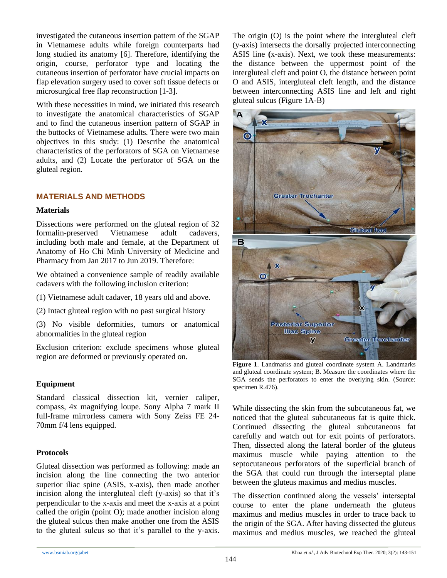investigated the cutaneous insertion pattern of the SGAP in Vietnamese adults while foreign counterparts had long studied its anatomy [6]. Therefore, identifying the origin, course, perforator type and locating the cutaneous insertion of perforator have crucial impacts on flap elevation surgery used to cover soft tissue defects or microsurgical free flap reconstruction [1-3].

With these necessities in mind, we initiated this research to investigate the anatomical characteristics of SGAP and to find the cutaneous insertion pattern of SGAP in the buttocks of Vietnamese adults. There were two main objectives in this study: (1) Describe the anatomical characteristics of the perforators of SGA on Vietnamese adults, and (2) Locate the perforator of SGA on the gluteal region.

## **MATERIALS AND METHODS**

### **Materials**

Dissections were performed on the gluteal region of 32 formalin-preserved Vietnamese adult cadavers, including both male and female, at the Department of Anatomy of Ho Chi Minh University of Medicine and Pharmacy from Jan 2017 to Jun 2019. Therefore:

We obtained a convenience sample of readily available cadavers with the following inclusion criterion:

(1) Vietnamese adult cadaver, 18 years old and above.

(2) Intact gluteal region with no past surgical history

(3) No visible deformities, tumors or anatomical abnormalities in the gluteal region

Exclusion criterion: exclude specimens whose gluteal region are deformed or previously operated on.

## **Equipment**

Standard classical dissection kit, vernier caliper, compass, 4x magnifying loupe. Sony Alpha 7 mark II full-frame mirrorless camera with Sony Zeiss FE 24- 70mm f/4 lens equipped.

### **Protocols**

Gluteal dissection was performed as following: made an incision along the line connecting the two anterior superior iliac spine (ASIS, x-axis), then made another incision along the intergluteal cleft (y-axis) so that it's perpendicular to the x-axis and meet the x-axis at a point called the origin (point O); made another incision along the gluteal sulcus then make another one from the ASIS to the gluteal sulcus so that it's parallel to the y-axis. The origin (O) is the point where the intergluteal cleft (y-axis) intersects the dorsally projected interconnecting ASIS line **(**x-axis). Next, we took these measurements: the distance between the uppermost point of the intergluteal cleft and point O, the distance between point O and ASIS, intergluteal cleft length, and the distance between interconnecting ASIS line and left and right gluteal sulcus (Figure 1A-B)



**Figure 1**. Landmarks and gluteal coordinate system A. Landmarks and gluteal coordinate system; B. Measure the coordinates where the SGA sends the perforators to enter the overlying skin. (Source: specimen R.476).

While dissecting the skin from the subcutaneous fat, we noticed that the gluteal subcutaneous fat is quite thick. Continued dissecting the gluteal subcutaneous fat carefully and watch out for exit points of perforators. Then, dissected along the lateral border of the gluteus maximus muscle while paying attention to the septocutaneous perforators of the superficial branch of the SGA that could run through the interseptal plane between the gluteus maximus and medius muscles.

The dissection continued along the vessels' interseptal course to enter the plane underneath the gluteus maximus and medius muscles in order to trace back to the origin of the SGA. After having dissected the gluteus maximus and medius muscles, we reached the gluteal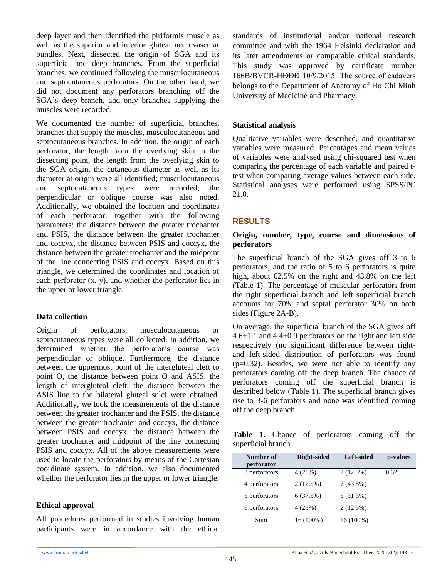deep layer and then identified the piriformis muscle as well as the superior and inferior gluteal neurovascular bundles. Next, dissected the origin of SGA and its superficial and deep branches. From the superficial branches, we continued following the musculocutaneous and septocutaneous perforators. On the other hand, we did not document any perforators branching off the SGA's deep branch, and only branches supplying the muscles were recorded.

We documented the number of superficial branches, branches that supply the muscles, musculocutaneous and septocutaneous branches. In addition, the origin of each perforator, the length from the overlying skin to the dissecting point, the length from the overlying skin to the SGA origin, the cutaneous diameter as well as its diameter at origin were all identified; musculocutaneous and septocutaneous types were recorded; the perpendicular or oblique course was also noted. Additionally, we obtained the location and coordinates of each perforator, together with the following parameters: the distance between the greater trochanter and PSIS, the distance between the greater trochanter and coccyx, the distance between PSIS and coccyx, the distance between the greater trochanter and the midpoint of the line connecting PSIS and coccyx. Based on this triangle, we determined the coordinates and location of each perforator (x, y), and whether the perforator lies in the upper or lower triangle.

## **Data collection**

Origin of perforators, musculocutaneous or septocutaneous types were all collected. In addition, we determined whether the perforator's course was perpendicular or oblique. Furthermore, the distance between the uppermost point of the intergluteal cleft to point O, the distance between point O and ASIS, the length of intergluteal cleft, the distance between the ASIS line to the bilateral gluteal sulci were obtained. Additionally, we took the measurements of the distance between the greater trochanter and the PSIS, the distance between the greater trochanter and coccyx, the distance between PSIS and coccyx, the distance between the greater trochanter and midpoint of the line connecting PSIS and coccyx. All of the above measurements were used to locate the perforators by means of the Cartesian coordinate system. In addition, we also documented whether the perforator lies in the upper or lower triangle.

### **Ethical approval**

All procedures performed in studies involving human participants were in accordance with the ethical standards of institutional and/or national research committee and with the 1964 Helsinki declaration and its later amendments or comparable ethical standards. This study was approved by certificate number 166B/BVCR-HĐĐĐ 10/9/2015. The source of cadavers belongs to the Department of Anatomy of Ho Chi Minh University of Medicine and Pharmacy.

## **Statistical analysis**

Qualitative variables were described, and quantitative variables were measured. Percentages and mean values of variables were analysed using chi-squared test when comparing the percentage of each variable and paired ttest when comparing average values between each side. Statistical analyses were performed using SPSS/PC 21.0.

## **RESULTS**

### **Origin, number, type, course and dimensions of perforators**

The superficial branch of the SGA gives off 3 to 6 perforators, and the ratio of 5 to 6 perforators is quite high, about 62.5% on the right and 43.8% on the left (Table 1). The percentage of muscular perforators from the right superficial branch and left superficial branch accounts for 70% and septal perforator 30% on both sides (Figure 2A-B).

On average, the superficial branch of the SGA gives off  $4.6\pm1.1$  and  $4.4\pm0.9$  perforators on the right and left side respectively (no significant difference between rightand left-sided distribution of perforators was found  $(p=0.32)$ . Besides, we were not able to identify any perforators coming off the deep branch. The chance of perforators coming off the superficial branch is described below (Table 1). The superficial branch gives rise to 3-6 perforators and none was identified coming off the deep branch.

|                    |  | <b>Table 1.</b> Chance of perforators coming off the |  |  |
|--------------------|--|------------------------------------------------------|--|--|
| superficial branch |  |                                                      |  |  |

| Number of<br>perforator | <b>Right-sided</b> | Left-sided  | p-values |
|-------------------------|--------------------|-------------|----------|
| 3 perforators           | 4(25%)             | $2(12.5\%)$ | 0.32     |
| 4 perforators           | 2(12.5%)           | $7(43.8\%)$ |          |
| 5 perforators           | 6(37.5%)           | $5(31.3\%)$ |          |
| 6 perforators           | 4(25%)             | $2(12.5\%)$ |          |
| Sum                     | $16(100\%)$        | $16(100\%)$ |          |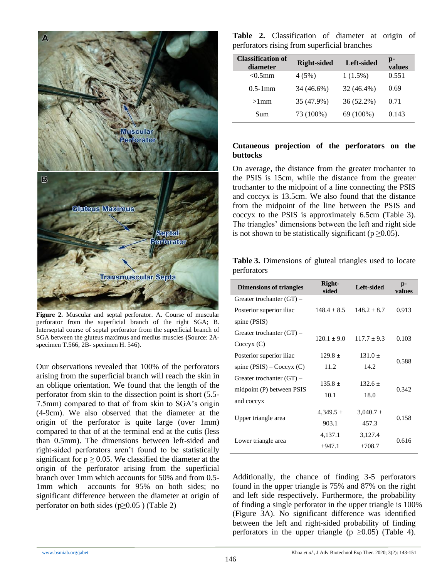

**Figure 2.** Muscular and septal perforator. A. Course of muscular perforator from the superficial branch of the right SGA; B. Interseptal course of septal perforator from the superficial branch of SGA between the gluteus maximus and medius muscles **(**Source: 2Aspecimen T.566, 2B- specimen H. 546).

Our observations revealed that 100% of the perforators arising from the superficial branch will reach the skin in an oblique orientation. We found that the length of the perforator from skin to the dissection point is short (5.5- 7.5mm) compared to that of from skin to SGA's origin (4-9cm). We also observed that the diameter at the origin of the perforator is quite large (over 1mm) compared to that of at the terminal end at the cutis (less than 0.5mm). The dimensions between left-sided and right-sided perforators aren't found to be statistically significant for  $p \ge 0.05$ . We classified the diameter at the origin of the perforator arising from the superficial branch over 1mm which accounts for 50% and from 0.5- 1mm which accounts for 95% on both sides; no significant difference between the diameter at origin of perforator on both sides ( $p \ge 0.05$ ) (Table 2)

**Table 2.** Classification of diameter at origin of perforators rising from superficial branches

| <b>Classification of</b><br>diameter | <b>Right-sided</b> | Left-sided | p-<br>values |
|--------------------------------------|--------------------|------------|--------------|
| $< 0.5$ mm                           | 4(5%)              | $1(1.5\%)$ | 0.551        |
| $0.5-1$ mm                           | 34 (46.6%)         | 32 (46.4%) | 0.69         |
| $>1$ mm                              | 35 (47.9%)         | 36 (52.2%) | 0.71         |
| Sum                                  | 73 (100%)          | 69 (100%)  | 0.143        |

## **Cutaneous projection of the perforators on the buttocks**

On average, the distance from the greater trochanter to the PSIS is 15cm, while the distance from the greater trochanter to the midpoint of a line connecting the PSIS and coccyx is 13.5cm. We also found that the distance from the midpoint of the line between the PSIS and coccyx to the PSIS is approximately 6.5cm (Table 3). The triangles' dimensions between the left and right side is not shown to be statistically significant ( $p \ge 0.05$ ).

**Table 3.** Dimensions of gluteal triangles used to locate perforators

| <b>Dimensions of triangles</b> | Right-<br>sided | Left-sided      | p-<br>values |
|--------------------------------|-----------------|-----------------|--------------|
| Greater trochanter $(GT)$ –    |                 |                 |              |
| Posterior superior iliac       | $148.4 \pm 8.5$ | $148.2 + 8.7$   | 0.913        |
| spine (PSIS)                   |                 |                 |              |
| Greater trochanter $(GT)$ –    | $120.1 \pm 9.0$ | $117.7 \pm 9.3$ | 0.103        |
| Coccyx(C)                      |                 |                 |              |
| Posterior superior iliac       | $129.8 \pm$     | 131.0 $\pm$     | 0.588        |
| spine $(PSIS)$ – Coccyx $(C)$  | 11.2            | 14.2            |              |
| Greater trochanter $(GT)$ –    |                 |                 |              |
| midpoint (P) between PSIS      | $135.8 \pm$     | $132.6 \pm$     | 0.342        |
| and coccyx                     | 10.1            | 18.0            |              |
|                                | $4,349.5 \pm$   | $3,040.7 \pm$   |              |
| Upper triangle area            | 903.1           | 457.3           | 0.158        |
|                                | 4,137.1         | 3,127.4         |              |
| Lower triangle area            | ±947.1          | ±708.7          | 0.616        |

Additionally, the chance of finding 3-5 perforators found in the upper triangle is 75% and 87% on the right and left side respectively. Furthermore, the probability of finding a single perforator in the upper triangle is 100% (Figure 3A). No significant difference was identified between the left and right-sided probability of finding perforators in the upper triangle ( $p \ge 0.05$ ) (Table 4).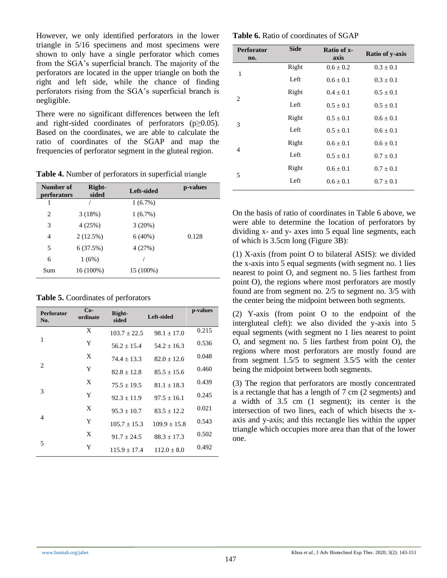However, we only identified perforators in the lower triangle in 5/16 specimens and most specimens were shown to only have a single perforator which comes from the SGA's superficial branch. The majority of the perforators are located in the upper triangle on both the right and left side, while the chance of finding perforators rising from the SGA's superficial branch is negligible.

There were no significant differences between the left and right-sided coordinates of perforators  $(p \ge 0.05)$ . Based on the coordinates, we are able to calculate the ratio of coordinates of the SGAP and map the frequencies of perforator segment in the gluteal region.

**Table 4.** Number of perforators in superficial triangle

| Number of<br>perforators | Right-<br>sided | Left-sided | p-values |
|--------------------------|-----------------|------------|----------|
|                          |                 | $1(6.7\%)$ |          |
| $\overline{c}$           | 3(18%)          | $1(6.7\%)$ |          |
| 3                        | 4(25%)          | 3(20%)     |          |
| 4                        | 2(12.5%)        | $6(40\%)$  | 0.128    |
| 5                        | 6(37.5%)        | 4 (27%)    |          |
| 6                        | 1(6%)           |            |          |
| Sum                      | $16(100\%)$     | 15 (100%)  |          |

**Table 5.** Coordinates of perforators

| <b>Perforator</b><br>No. | $Co-$<br>ordinate | Right-<br>sided  | Left-sided      | p-values |
|--------------------------|-------------------|------------------|-----------------|----------|
|                          | X                 | $103.7 \pm 22.5$ | $98.1 \pm 17.0$ | 0.215    |
| 1                        | Y                 | $56.2 + 15.4$    | $54.2 + 16.3$   | 0.536    |
|                          | X                 | $74.4 + 13.3$    | $82.0 + 12.6$   | 0.048    |
| 2                        | Y                 | $82.8 + 12.8$    | $85.5 + 15.6$   | 0.460    |
|                          | X                 | $75.5 \pm 19.5$  | $81.1 + 18.3$   | 0.439    |
| 3                        | Y                 | $92.3 + 11.9$    | $97.5 + 16.1$   | 0.245    |
|                          | X                 | $95.3 + 10.7$    | $83.5 + 12.2$   | 0.021    |
| $\overline{4}$           | Y                 | $105.7 + 15.3$   | $109.9 + 15.8$  | 0.543    |
|                          | X                 | $91.7 + 24.5$    | $88.3 + 17.3$   | 0.502    |
| 5                        | Y                 | $115.9 \pm 17.4$ | $112.0 + 8.0$   | 0.492    |

**Table 6.** Ratio of coordinates of SGAP

| <b>Perforator</b><br>no. | <b>Side</b> | Ratio of x-<br>axis | <b>Ratio of y-axis</b> |
|--------------------------|-------------|---------------------|------------------------|
| 1                        | Right       | $0.6 \pm 0.2$       | $0.3 \pm 0.1$          |
|                          | Left        | $0.6 + 0.1$         | $0.3 \pm 0.1$          |
| 2                        | Right       | $0.4 \pm 0.1$       | $0.5 \pm 0.1$          |
|                          | Left        | $0.5 \pm 0.1$       | $0.5 \pm 0.1$          |
| 3                        | Right       | $0.5 \pm 0.1$       | $0.6 \pm 0.1$          |
|                          | Left        | $0.5 + 0.1$         | $0.6 \pm 0.1$          |
| 4                        | Right       | $0.6 + 0.1$         | $0.6 \pm 0.1$          |
|                          | Left        | $0.5 \pm 0.1$       | $0.7 \pm 0.1$          |
| 5                        | Right       | $0.6 \pm 0.1$       | $0.7 \pm 0.1$          |
|                          | Left        | $0.6 + 0.1$         | $0.7 + 0.1$            |

On the basis of ratio of coordinates in Table 6 above, we were able to determine the location of perforators by dividing x- and y- axes into 5 equal line segments, each of which is 3.5cm long (Figure 3B):

(1) X-axis (from point O to bilateral ASIS): we divided the x-axis into 5 equal segments (with segment no. 1 lies nearest to point O, and segment no. 5 lies farthest from point O), the regions where most perforators are mostly found are from segment no. 2/5 to segment no. 3/5 with the center being the midpoint between both segments.

(2) Y-axis (from point O to the endpoint of the intergluteal cleft): we also divided the y-axis into 5 equal segments (with segment no 1 lies nearest to point O, and segment no. 5 lies farthest from point O), the regions where most perforators are mostly found are from segment 1.5/5 to segment 3.5/5 with the center being the midpoint between both segments.

(3) The region that perforators are mostly concentrated is a rectangle that has a length of 7 cm (2 segments) and a width of 3.5 cm (1 segment); its center is the intersection of two lines, each of which bisects the xaxis and y-axis; and this rectangle lies within the upper triangle which occupies more area than that of the lower one.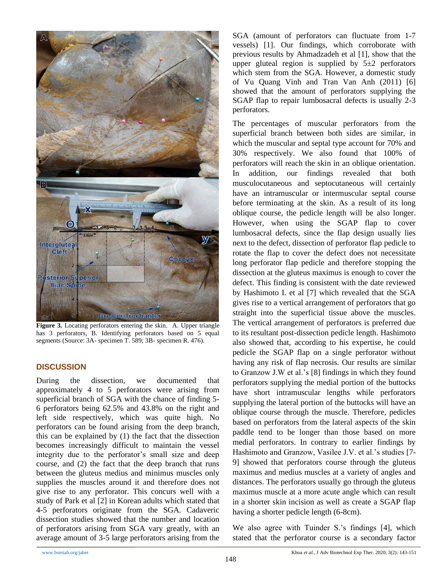

**Figure 3.** Locating perforators entering the skin.A. Upper triangle has 3 perforators*,* B. Identifying perforators based on 5 equal segments (Source: 3A- specimen T. 589; 3B- specimen R. 476).

### **DISCUSSION**

During the dissection, we documented that approximately 4 to 5 perforators were arising from superficial branch of SGA with the chance of finding 5- 6 perforators being 62.5% and 43.8% on the right and left side respectively, which was quite high. No perforators can be found arising from the deep branch, this can be explained by (1) the fact that the dissection becomes increasingly difficult to maintain the vessel integrity due to the perforator's small size and deep course, and (2) the fact that the deep branch that runs between the gluteus medius and minimus muscles only supplies the muscles around it and therefore does not give rise to any perforator. This concurs well with a study of Park et al [2] in Korean adults which stated that 4-5 perforators originate from the SGA. Cadaveric dissection studies showed that the number and location of perforators arising from SGA vary greatly, with an average amount of 3-5 large perforators arising from the

SGA (amount of perforators can fluctuate from 1-7 vessels) [1]. Our findings, which corroborate with previous results by Ahmadzadeh et al [1], show that the upper gluteal region is supplied by  $5\pm 2$  perforators which stem from the SGA. However, a domestic study of Vu Quang Vinh and Tran Van Anh (2011) [6] showed that the amount of perforators supplying the SGAP flap to repair lumbosacral defects is usually 2-3 perforators.

The percentages of muscular perforators from the superficial branch between both sides are similar, in which the muscular and septal type account for 70% and 30% respectively. We also found that 100% of perforators will reach the skin in an oblique orientation. In addition, our findings revealed that both musculocutaneous and septocutaneous will certainly have an intramuscular or intermuscular septal course before terminating at the skin. As a result of its long oblique course, the pedicle length will be also longer. However, when using the SGAP flap to cover lumbosacral defects, since the flap design usually lies next to the defect, dissection of perforator flap pedicle to rotate the flap to cover the defect does not necessitate long perforator flap pedicle and therefore stopping the dissection at the gluteus maximus is enough to cover the defect. This finding is consistent with the date reviewed by Hashimoto I. et al [7] which revealed that the SGA gives rise to a vertical arrangement of perforators that go straight into the superficial tissue above the muscles. The vertical arrangement of perforators is preferred due to its resultant post-dissection pedicle length. Hashimoto also showed that, according to his expertise, he could pedicle the SGAP flap on a single perforator without having any risk of flap necrosis. Our results are similar to Granzow J.W et al.'s [8] findings in which they found perforators supplying the medial portion of the buttocks have short intramuscular lengths while perforators supplying the lateral portion of the buttocks will have an oblique course through the muscle. Therefore, pedicles based on perforators from the lateral aspects of the skin paddle tend to be longer than those based on more medial perforators. In contrary to earlier findings by Hashimoto and Granzow, Vasilee J.V. et al.'s studies [7- 9] showed that perforators course through the gluteus maximus and medius muscles at a variety of angles and distances. The perforators usually go through the gluteus maximus muscle at a more acute angle which can result in a shorter skin incision as well as create a SGAP flap having a shorter pedicle length (6-8cm).

We also agree with Tuinder S.'s findings [4], which stated that the perforator course is a secondary factor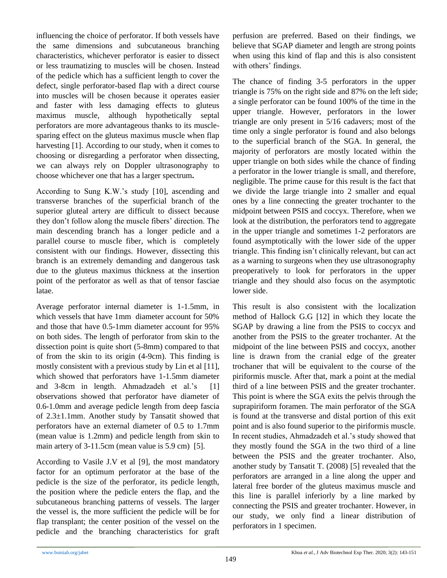influencing the choice of perforator. If both vessels have the same dimensions and subcutaneous branching characteristics, whichever perforator is easier to dissect or less traumatizing to muscles will be chosen. Instead of the pedicle which has a sufficient length to cover the defect, single perforator-based flap with a direct course into muscles will be chosen because it operates easier and faster with less damaging effects to gluteus maximus muscle, although hypothetically septal perforators are more advantageous thanks to its musclesparing effect on the gluteus maximus muscle when flap harvesting [1]. According to our study, when it comes to choosing or disregarding a perforator when dissecting, we can always rely on Doppler ultrasonography to choose whichever one that has a larger spectrum**.**

According to Sung K.W.'s study [10], ascending and transverse branches of the superficial branch of the superior gluteal artery are difficult to dissect because they don't follow along the muscle fibers' direction. The main descending branch has a longer pedicle and a parallel course to muscle fiber, which is completely consistent with our findings. However, dissecting this branch is an extremely demanding and dangerous task due to the gluteus maximus thickness at the insertion point of the perforator as well as that of tensor fasciae latae.

Average perforator internal diameter is 1-1.5mm, in which vessels that have 1mm diameter account for 50% and those that have 0.5-1mm diameter account for 95% on both sides. The length of perforator from skin to the dissection point is quite short (5-8mm) compared to that of from the skin to its origin (4-9cm). This finding is mostly consistent with a previous study by Lin et al [11], which showed that perforators have 1-1.5mm diameter and 3-8cm in length. Ahmadzadeh et al.'s [1] observations showed that perforator have diameter of 0.6-1.0mm and average pedicle length from deep fascia of 2.3±1.1mm. Another study by Tansatit showed that perforators have an external diameter of 0.5 to 1.7mm (mean value is 1.2mm) and pedicle length from skin to main artery of 3-11.5cm (mean value is 5.9 cm) [5].

According to Vasile J.V et al [9], the most mandatory factor for an optimum perforator at the base of the pedicle is the size of the perforator, its pedicle length, the position where the pedicle enters the flap, and the subcutaneous branching patterns of vessels. The larger the vessel is, the more sufficient the pedicle will be for flap transplant; the center position of the vessel on the pedicle and the branching characteristics for graft perfusion are preferred. Based on their findings, we believe that SGAP diameter and length are strong points when using this kind of flap and this is also consistent with others' findings.

The chance of finding 3-5 perforators in the upper triangle is 75% on the right side and 87% on the left side; a single perforator can be found 100% of the time in the upper triangle. However, perforators in the lower triangle are only present in 5/16 cadavers; most of the time only a single perforator is found and also belongs to the superficial branch of the SGA. In general, the majority of perforators are mostly located within the upper triangle on both sides while the chance of finding a perforator in the lower triangle is small, and therefore, negligible. The prime cause for this result is the fact that we divide the large triangle into 2 smaller and equal ones by a line connecting the greater trochanter to the midpoint between PSIS and coccyx. Therefore, when we look at the distribution, the perforators tend to aggregate in the upper triangle and sometimes 1-2 perforators are found asymptotically with the lower side of the upper triangle. This finding isn't clinically relevant, but can act as a warning to surgeons when they use ultrasonography preoperatively to look for perforators in the upper triangle and they should also focus on the asymptotic lower side.

This result is also consistent with the localization method of Hallock G.G [12] in which they locate the SGAP by drawing a line from the PSIS to coccyx and another from the PSIS to the greater trochanter. At the midpoint of the line between PSIS and coccyx, another line is drawn from the cranial edge of the greater trochaner that will be equivalent to the course of the piriformis muscle. After that, mark a point at the medial third of a line between PSIS and the greater trochanter. This point is where the SGA exits the pelvis through the suprapiriform foramen. The main perforator of the SGA is found at the transverse and distal portion of this exit point and is also found superior to the piriformis muscle. In recent studies, Ahmadzadeh et al.'s study showed that they mostly found the SGA in the two third of a line between the PSIS and the greater trochanter. Also, another study by Tansatit T. (2008) [5] revealed that the perforators are arranged in a line along the upper and lateral free border of the gluteus maximus muscle and this line is parallel inferiorly by a line marked by connecting the PSIS and greater trochanter. However, in our study, we only find a linear distribution of perforators in 1 specimen.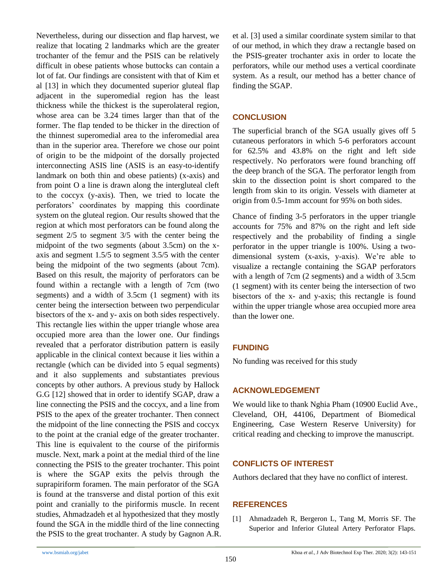Nevertheless, during our dissection and flap harvest, we realize that locating 2 landmarks which are the greater trochanter of the femur and the PSIS can be relatively difficult in obese patients whose buttocks can contain a lot of fat. Our findings are consistent with that of Kim et al [13] in which they documented superior gluteal flap adjacent in the superomedial region has the least thickness while the thickest is the superolateral region, whose area can be 3.24 times larger than that of the former. The flap tended to be thicker in the direction of the thinnest superomedial area to the inferomedial area than in the superior area. Therefore we chose our point of origin to be the midpoint of the dorsally projected interconnecting ASIS line (ASIS is an easy-to-identify landmark on both thin and obese patients) (x-axis) and from point O a line is drawn along the intergluteal cleft to the coccyx (y-axis). Then, we tried to locate the perforators' coordinates by mapping this coordinate system on the gluteal region. Our results showed that the region at which most perforators can be found along the segment 2/5 to segment 3/5 with the center being the midpoint of the two segments (about 3.5cm) on the xaxis and segment 1.5/5 to segment 3.5/5 with the center being the midpoint of the two segments (about 7cm). Based on this result, the majority of perforators can be found within a rectangle with a length of 7cm (two segments) and a width of 3.5cm (1 segment) with its center being the intersection between two perpendicular bisectors of the x- and y- axis on both sides respectively. This rectangle lies within the upper triangle whose area occupied more area than the lower one. Our findings revealed that a perforator distribution pattern is easily applicable in the clinical context because it lies within a rectangle (which can be divided into 5 equal segments) and it also supplements and substantiates previous concepts by other authors. A previous study by Hallock G.G [12] showed that in order to identify SGAP, draw a line connecting the PSIS and the coccyx, and a line from PSIS to the apex of the greater trochanter. Then connect the midpoint of the line connecting the PSIS and coccyx to the point at the cranial edge of the greater trochanter. This line is equivalent to the course of the piriformis muscle. Next, mark a point at the medial third of the line connecting the PSIS to the greater trochanter. This point is where the SGAP exits the pelvis through the suprapiriform foramen. The main perforator of the SGA is found at the transverse and distal portion of this exit point and cranially to the piriformis muscle. In recent studies, Ahmadzadeh et al hypothesized that they mostly found the SGA in the middle third of the line connecting the PSIS to the great trochanter. A study by Gagnon A.R. et al. [3] used a similar coordinate system similar to that of our method, in which they draw a rectangle based on the PSIS-greater trochanter axis in order to locate the perforators, while our method uses a vertical coordinate system. As a result, our method has a better chance of finding the SGAP.

## **CONCLUSION**

The superficial branch of the SGA usually gives off 5 cutaneous perforators in which 5-6 perforators account for 62.5% and 43.8% on the right and left side respectively. No perforators were found branching off the deep branch of the SGA. The perforator length from skin to the dissection point is short compared to the length from skin to its origin. Vessels with diameter at origin from 0.5-1mm account for 95% on both sides.

Chance of finding 3-5 perforators in the upper triangle accounts for 75% and 87% on the right and left side respectively and the probability of finding a single perforator in the upper triangle is 100%. Using a twodimensional system (x-axis, y-axis). We're able to visualize a rectangle containing the SGAP perforators with a length of 7cm (2 segments) and a width of 3.5cm (1 segment) with its center being the intersection of two bisectors of the x- and y-axis; this rectangle is found within the upper triangle whose area occupied more area than the lower one.

# **FUNDING**

No funding was received for this study

## **ACKNOWLEDGEMENT**

We would like to thank Nghia Pham (10900 Euclid Ave., Cleveland, OH, 44106, Department of Biomedical Engineering, Case Western Reserve University) for critical reading and checking to improve the manuscript.

### **CONFLICTS OF INTEREST**

Authors declared that they have no conflict of interest.

### **REFERENCES**

[1] Ahmadzadeh R, Bergeron L, Tang M, Morris SF. The Superior and Inferior Gluteal Artery Perforator Flaps.